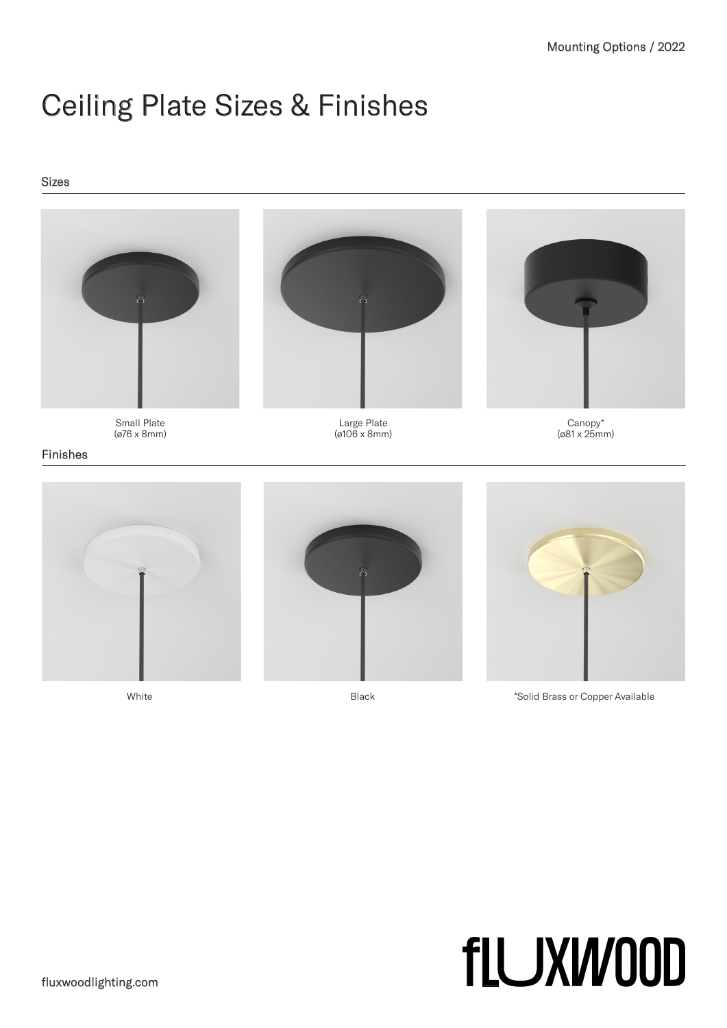# Ceiling Plate Sizes & Finishes

### Sizes



White White **Example 2018** Black **Solid Brass or Copper Available** 

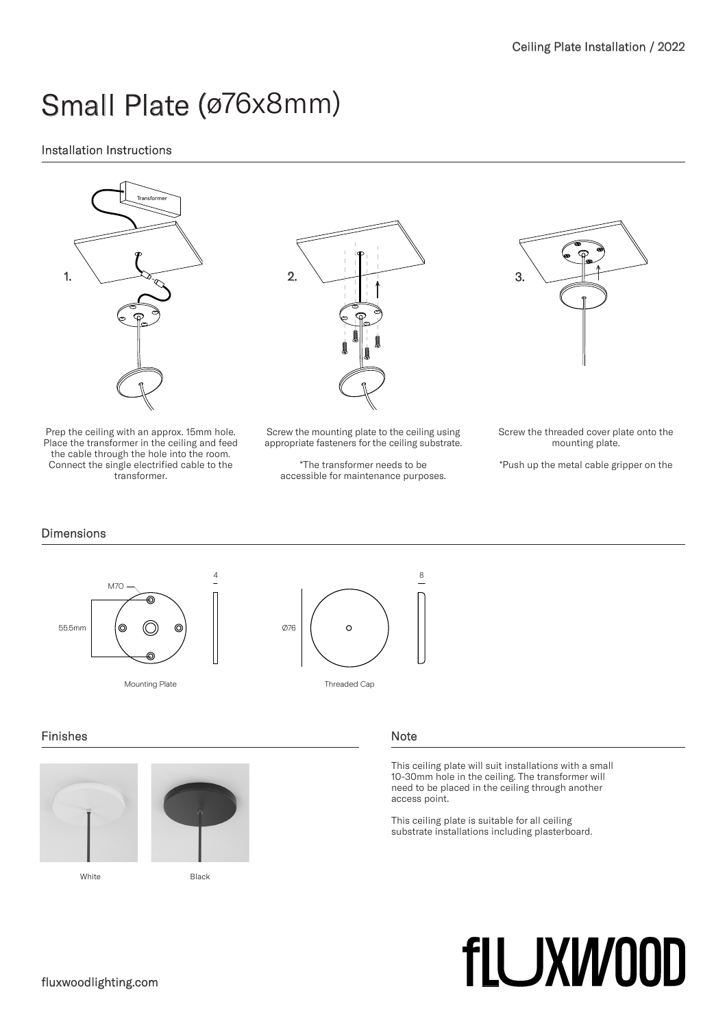# Small Plate (ø76x8mm)

# Installation Instructions



Prep the ceiling with an approx. 15mm hole. Place the transformer in the ceiling and feed the cable through the hole into the room. Connect the single electrified cable to the transformer.



Screw the mounting plate to the ceiling using appropriate fasteners for the ceiling substrate.

\*The transformer needs to be accessible for maintenance purposes. Screw the threaded cover plate onto the mounting plate.

\*Push up the metal cable gripper on the

## Dimensions



## Finishes





White **Black** 

#### Note

This ceiling plate will suit installations with a small 10-30mm hole in the ceiling. The transformer will need to be placed in the ceiling through another access point.

This ceiling plate is suitable for all ceiling substrate installations including plasterboard.

# **flUXW00D**

## fluxwoodlighting.com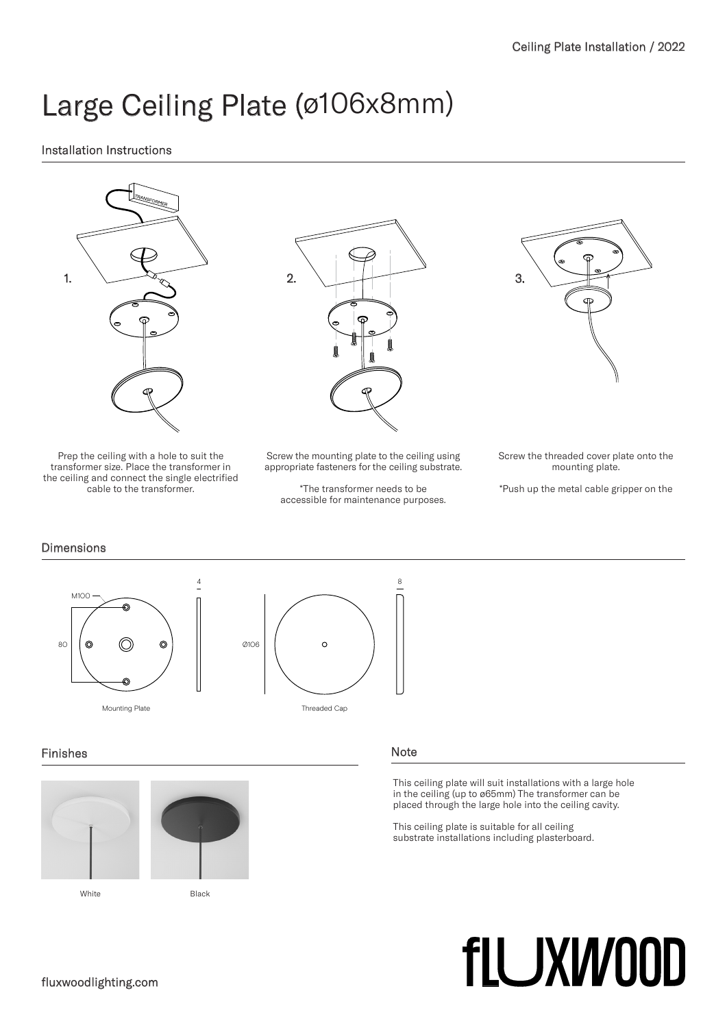# Large Ceiling Plate (ø106x8mm)

# Installation Instructions



Prep the ceiling with a hole to suit the transformer size. Place the transformer in the ceiling and connect the single electrified cable to the transformer.



Screw the mounting plate to the ceiling using appropriate fasteners for the ceiling substrate.

\*The transformer needs to be accessible for maintenance purposes.

Screw the threaded cover plate onto the mounting plate.

\*Push up the metal cable gripper on the

# **Dimensions**



## Finishes





White **Black** 

## Note

This ceiling plate will suit installations with a large hole in the ceiling (up to ø65mm) The transformer can be placed through the large hole into the ceiling cavity.

This ceiling plate is suitable for all ceiling substrate installations including plasterboard.

# **flUXW00D**

## fluxwoodlighting.com